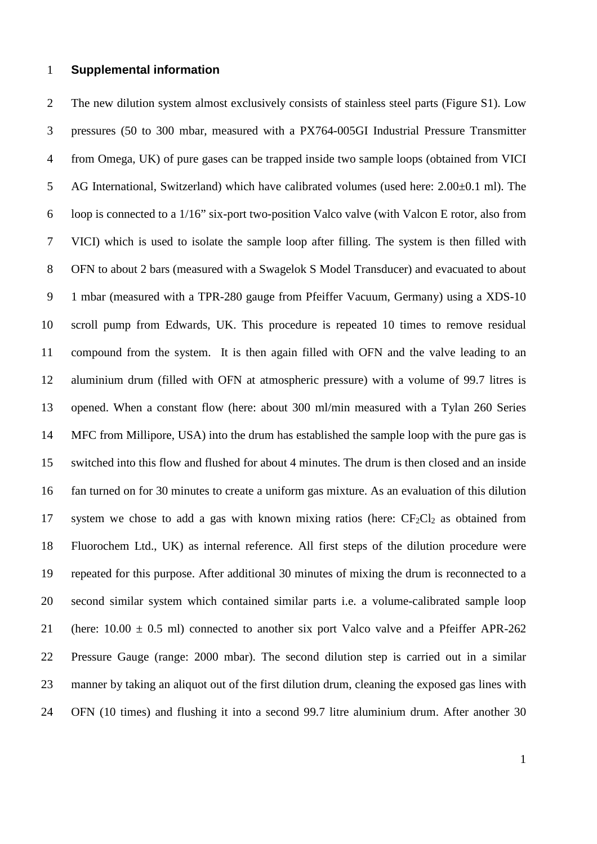## 1 **Supplemental information**

2 The new dilution system almost exclusively consists of stainless steel parts (Figure S1). Low 3 pressures (50 to 300 mbar, measured with a PX764-005GI Industrial Pressure Transmitter 4 from Omega, UK) of pure gases can be trapped inside two sample loops (obtained from VICI 5 AG International, Switzerland) which have calibrated volumes (used here: 2.00±0.1 ml). The 6 loop is connected to a 1/16" six-port two-position Valco valve (with Valcon E rotor, also from 7 VICI) which is used to isolate the sample loop after filling. The system is then filled with 8 OFN to about 2 bars (measured with a Swagelok S Model Transducer) and evacuated to about 9 1 mbar (measured with a TPR-280 gauge from Pfeiffer Vacuum, Germany) using a XDS-10 10 scroll pump from Edwards, UK. This procedure is repeated 10 times to remove residual 11 compound from the system. It is then again filled with OFN and the valve leading to an 12 aluminium drum (filled with OFN at atmospheric pressure) with a volume of 99.7 litres is 13 opened. When a constant flow (here: about 300 ml/min measured with a Tylan 260 Series 14 MFC from Millipore, USA) into the drum has established the sample loop with the pure gas is 15 switched into this flow and flushed for about 4 minutes. The drum is then closed and an inside 16 fan turned on for 30 minutes to create a uniform gas mixture. As an evaluation of this dilution 17 system we chose to add a gas with known mixing ratios (here:  $CF_2Cl_2$  as obtained from 18 Fluorochem Ltd., UK) as internal reference. All first steps of the dilution procedure were 19 repeated for this purpose. After additional 30 minutes of mixing the drum is reconnected to a 20 second similar system which contained similar parts i.e. a volume-calibrated sample loop 21 (here:  $10.00 \pm 0.5$  ml) connected to another six port Valco valve and a Pfeiffer APR-262 22 Pressure Gauge (range: 2000 mbar). The second dilution step is carried out in a similar 23 manner by taking an aliquot out of the first dilution drum, cleaning the exposed gas lines with 24 OFN (10 times) and flushing it into a second 99.7 litre aluminium drum. After another 30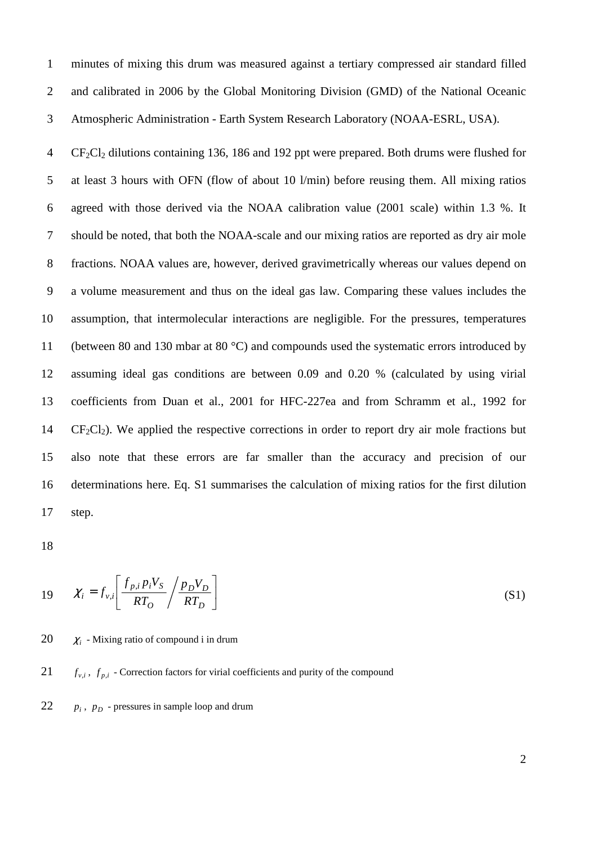1 minutes of mixing this drum was measured against a tertiary compressed air standard filled 2 and calibrated in 2006 by the Global Monitoring Division (GMD) of the National Oceanic 3 Atmospheric Administration - Earth System Research Laboratory (NOAA-ESRL, USA).

4 CF2Cl2 dilutions containing 136, 186 and 192 ppt were prepared. Both drums were flushed for 5 at least 3 hours with OFN (flow of about 10 l/min) before reusing them. All mixing ratios 6 agreed with those derived via the NOAA calibration value (2001 scale) within 1.3 %. It 7 should be noted, that both the NOAA-scale and our mixing ratios are reported as dry air mole 8 fractions. NOAA values are, however, derived gravimetrically whereas our values depend on 9 a volume measurement and thus on the ideal gas law. Comparing these values includes the 10 assumption, that intermolecular interactions are negligible. For the pressures, temperatures 11 (between 80 and 130 mbar at 80 °C) and compounds used the systematic errors introduced by 12 assuming ideal gas conditions are between 0.09 and 0.20 % (calculated by using virial 13 coefficients from Duan et al., 2001 for HFC-227ea and from Schramm et al., 1992 for  $14$  CF<sub>2</sub>Cl<sub>2</sub>). We applied the respective corrections in order to report dry air mole fractions but 15 also note that these errors are far smaller than the accuracy and precision of our 16 determinations here. Eq. S1 summarises the calculation of mixing ratios for the first dilution 17 step.

18

$$
19 \qquad \chi_i = f_{v,i} \left[ \frac{f_{p,i} p_i V_S}{RT_O} / \frac{p_D V_D}{RT_D} \right]
$$
 (S1)

20  $\chi$  - Mixing ratio of compound i in drum

## 21  $f_{v,i}$ ,  $f_{p,i}$  - Correction factors for virial coefficients and purity of the compound

22  $p_i$ ,  $p_D$  - pressures in sample loop and drum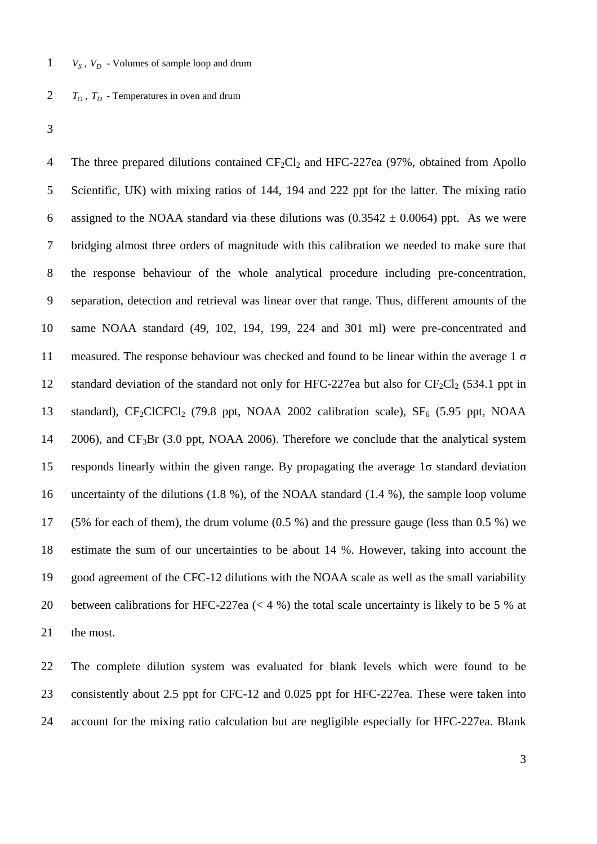- $V_s$ ,  $V_p$  Volumes of sample loop and drum
- 2  $T_0$ ,  $T_p$  Temperatures in oven and drum
- 3

4 The three prepared dilutions contained CF<sub>2</sub>Cl<sub>2</sub> and HFC-227ea (97%, obtained from Apollo 5 Scientific, UK) with mixing ratios of 144, 194 and 222 ppt for the latter. The mixing ratio 6 assigned to the NOAA standard via these dilutions was  $(0.3542 \pm 0.0064)$  ppt. As we were 7 bridging almost three orders of magnitude with this calibration we needed to make sure that 8 the response behaviour of the whole analytical procedure including pre-concentration, 9 separation, detection and retrieval was linear over that range. Thus, different amounts of the 10 same NOAA standard (49, 102, 194, 199, 224 and 301 ml) were pre-concentrated and 11 measured. The response behaviour was checked and found to be linear within the average  $1 \sigma$ 12 standard deviation of the standard not only for HFC-227ea but also for  $CF_2Cl_2$  (534.1 ppt in 13 standard), CF<sub>2</sub>ClCFCl<sub>2</sub> (79.8 ppt, NOAA 2002 calibration scale), SF<sub>6</sub> (5.95 ppt, NOAA 14 2006), and  $CF_3Br$  (3.0 ppt, NOAA 2006). Therefore we conclude that the analytical system 15 responds linearly within the given range. By propagating the average 1σ standard deviation 16 uncertainty of the dilutions (1.8 %), of the NOAA standard (1.4 %), the sample loop volume 17 (5% for each of them), the drum volume (0.5 %) and the pressure gauge (less than 0.5 %) we 18 estimate the sum of our uncertainties to be about 14 %. However, taking into account the 19 good agreement of the CFC-12 dilutions with the NOAA scale as well as the small variability 20 between calibrations for HFC-227ea (< 4 %) the total scale uncertainty is likely to be 5 % at 21 the most.

22 The complete dilution system was evaluated for blank levels which were found to be 23 consistently about 2.5 ppt for CFC-12 and 0.025 ppt for HFC-227ea. These were taken into 24 account for the mixing ratio calculation but are negligible especially for HFC-227ea. Blank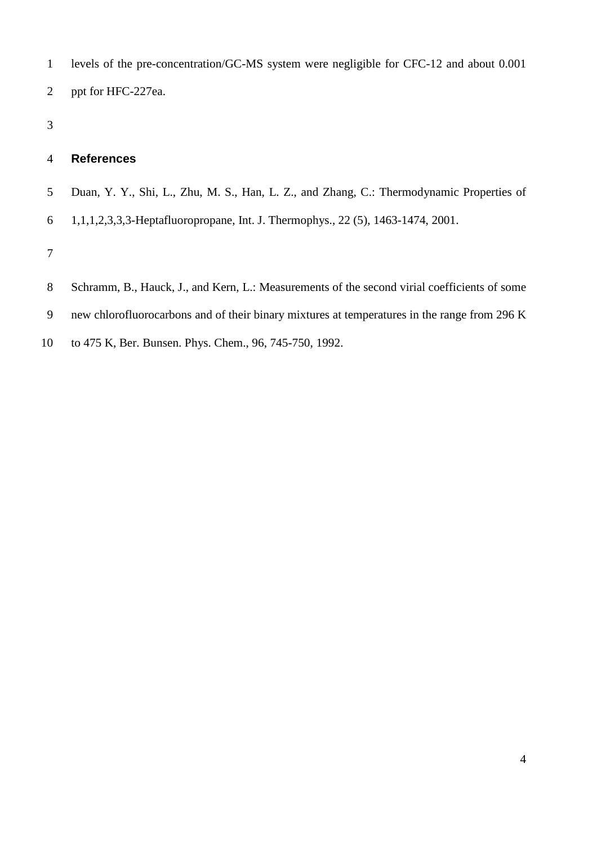- 1 levels of the pre-concentration/GC-MS system were negligible for CFC-12 and about 0.001 2 ppt for HFC-227ea.
- 3

## 4 **References**

- 5 Duan, Y. Y., Shi, L., Zhu, M. S., Han, L. Z., and Zhang, C.: Thermodynamic Properties of
- 6 1,1,1,2,3,3,3-Heptafluoropropane, Int. J. Thermophys., 22 (5), 1463-1474, 2001.

7

- 8 Schramm, B., Hauck, J., and Kern, L.: Measurements of the second virial coefficients of some
- 9 new chlorofluorocarbons and of their binary mixtures at temperatures in the range from 296 K
- 10 to 475 K, Ber. Bunsen. Phys. Chem., 96, 745-750, 1992.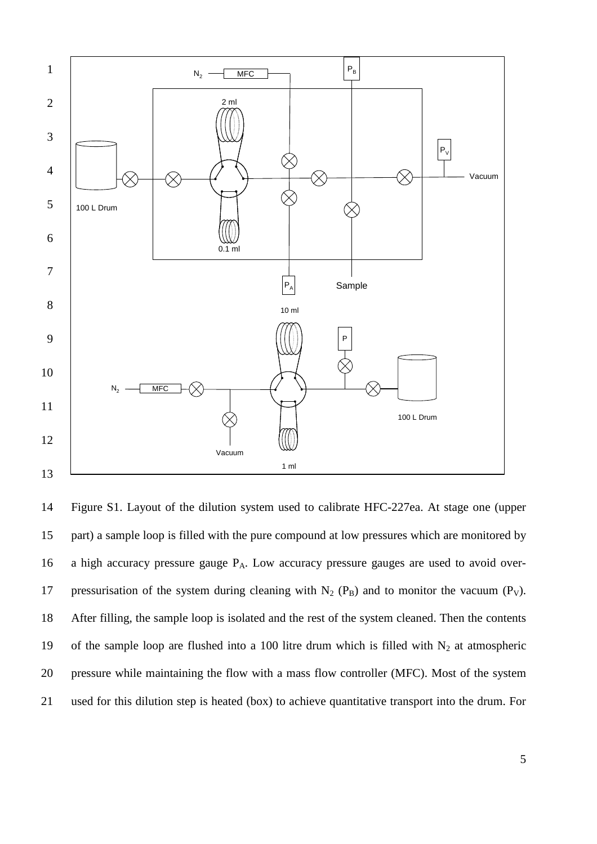

14 Figure S1. Layout of the dilution system used to calibrate HFC-227ea. At stage one (upper 15 part) a sample loop is filled with the pure compound at low pressures which are monitored by 16 a high accuracy pressure gauge PA. Low accuracy pressure gauges are used to avoid over-17 pressurisation of the system during cleaning with  $N_2$  ( $P_B$ ) and to monitor the vacuum ( $P_V$ ). 18 After filling, the sample loop is isolated and the rest of the system cleaned. Then the contents 19 of the sample loop are flushed into a 100 litre drum which is filled with  $N_2$  at atmospheric 20 pressure while maintaining the flow with a mass flow controller (MFC). Most of the system 21 used for this dilution step is heated (box) to achieve quantitative transport into the drum. For